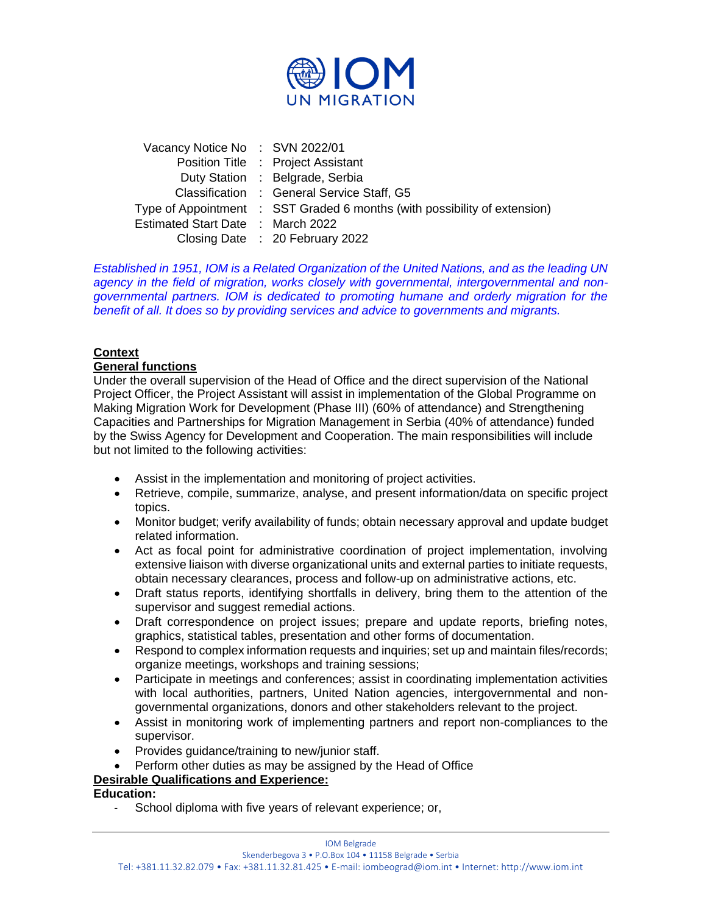

| Vacancy Notice No: SVN 2022/01    |                                                                           |
|-----------------------------------|---------------------------------------------------------------------------|
|                                   | Position Title : Project Assistant                                        |
|                                   | Duty Station : Belgrade, Serbia                                           |
|                                   | Classification : General Service Staff, G5                                |
|                                   | Type of Appointment : SST Graded 6 months (with possibility of extension) |
| Estimated Start Date : March 2022 |                                                                           |
|                                   | Closing Date : 20 February 2022                                           |

*Established in 1951, IOM is a Related Organization of the United Nations, and as the leading UN agency in the field of migration, works closely with governmental, intergovernmental and nongovernmental partners. IOM is dedicated to promoting humane and orderly migration for the benefit of all. It does so by providing services and advice to governments and migrants.*

# **Context**

## **General functions**

Under the overall supervision of the Head of Office and the direct supervision of the National Project Officer, the Project Assistant will assist in implementation of the Global Programme on Making Migration Work for Development (Phase III) (60% of attendance) and Strengthening Capacities and Partnerships for Migration Management in Serbia (40% of attendance) funded by the Swiss Agency for Development and Cooperation. The main responsibilities will include but not limited to the following activities:

- Assist in the implementation and monitoring of project activities.
- Retrieve, compile, summarize, analyse, and present information/data on specific project topics.
- Monitor budget; verify availability of funds; obtain necessary approval and update budget related information.
- Act as focal point for administrative coordination of project implementation, involving extensive liaison with diverse organizational units and external parties to initiate requests, obtain necessary clearances, process and follow-up on administrative actions, etc.
- Draft status reports, identifying shortfalls in delivery, bring them to the attention of the supervisor and suggest remedial actions.
- Draft correspondence on project issues; prepare and update reports, briefing notes, graphics, statistical tables, presentation and other forms of documentation.
- Respond to complex information requests and inquiries; set up and maintain files/records; organize meetings, workshops and training sessions;
- Participate in meetings and conferences; assist in coordinating implementation activities with local authorities, partners, United Nation agencies, intergovernmental and nongovernmental organizations, donors and other stakeholders relevant to the project.
- Assist in monitoring work of implementing partners and report non-compliances to the supervisor.
- Provides guidance/training to new/junior staff.
- Perform other duties as may be assigned by the Head of Office

# **Desirable Qualifications and Experience:**

### **Education:**

- School diploma with five years of relevant experience; or,